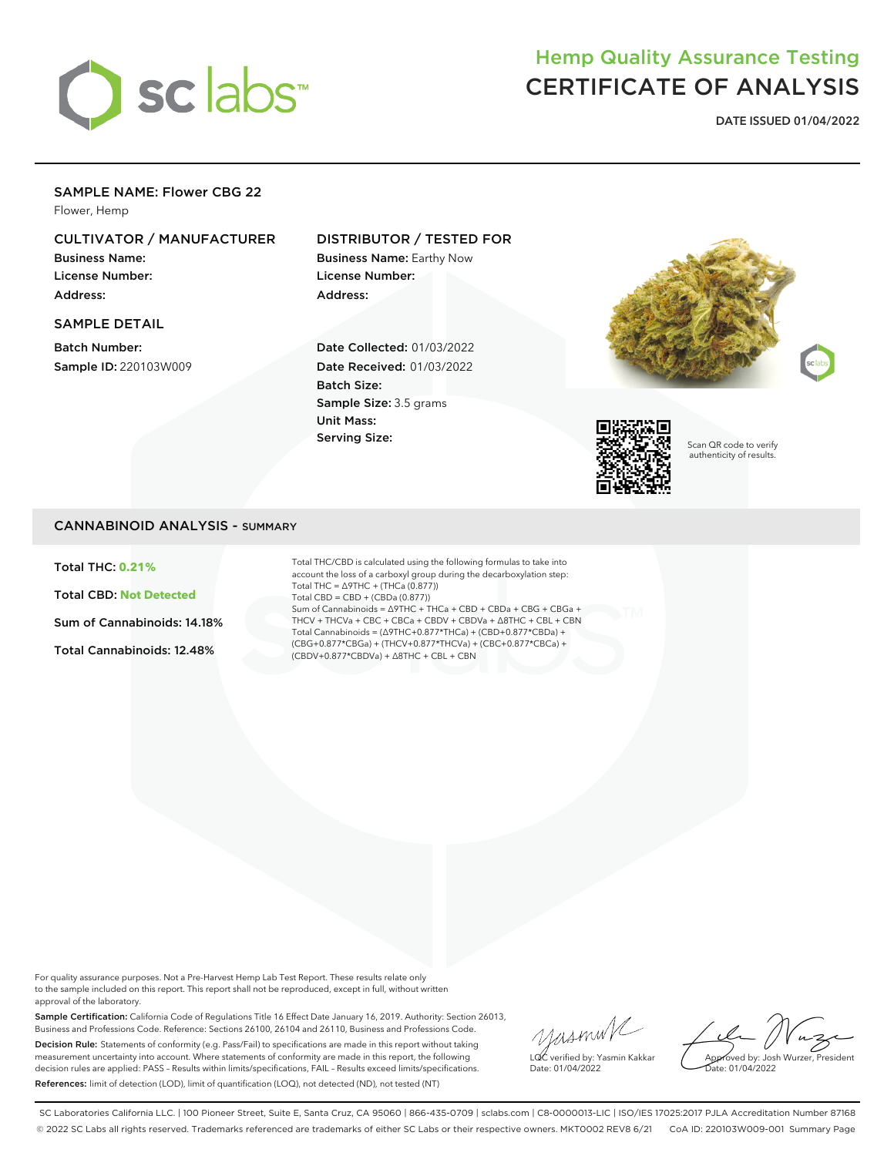

# Hemp Quality Assurance Testing CERTIFICATE OF ANALYSIS

**DATE ISSUED 01/04/2022**

### SAMPLE NAME: Flower CBG 22

Flower, Hemp

## CULTIVATOR / MANUFACTURER

Business Name: License Number: Address:

### SAMPLE DETAIL

Batch Number: Sample ID: 220103W009

### DISTRIBUTOR / TESTED FOR

Business Name: Earthy Now License Number: Address:

Date Collected: 01/03/2022 Date Received: 01/03/2022 Batch Size: Sample Size: 3.5 grams Unit Mass: Serving Size:





Scan QR code to verify authenticity of results.

### CANNABINOID ANALYSIS - SUMMARY

Total THC: **0.21%**

Total CBD: **Not Detected**

Sum of Cannabinoids: 14.18%

Total Cannabinoids: 12.48%

Total THC/CBD is calculated using the following formulas to take into account the loss of a carboxyl group during the decarboxylation step: Total THC = ∆9THC + (THCa (0.877)) Total CBD = CBD + (CBDa (0.877)) Sum of Cannabinoids = ∆9THC + THCa + CBD + CBDa + CBG + CBGa + THCV + THCVa + CBC + CBCa + CBDV + CBDVa + ∆8THC + CBL + CBN Total Cannabinoids = (∆9THC+0.877\*THCa) + (CBD+0.877\*CBDa) + (CBG+0.877\*CBGa) + (THCV+0.877\*THCVa) + (CBC+0.877\*CBCa) + (CBDV+0.877\*CBDVa) + ∆8THC + CBL + CBN

For quality assurance purposes. Not a Pre-Harvest Hemp Lab Test Report. These results relate only to the sample included on this report. This report shall not be reproduced, except in full, without written approval of the laboratory.

Sample Certification: California Code of Regulations Title 16 Effect Date January 16, 2019. Authority: Section 26013, Business and Professions Code. Reference: Sections 26100, 26104 and 26110, Business and Professions Code. Decision Rule: Statements of conformity (e.g. Pass/Fail) to specifications are made in this report without taking measurement uncertainty into account. Where statements of conformity are made in this report, the following decision rules are applied: PASS – Results within limits/specifications, FAIL – Results exceed limits/specifications. References: limit of detection (LOD), limit of quantification (LOQ), not detected (ND), not tested (NT)

yusmink LQC verified by: Yasmin Kakkar Date: 01/04/2022

Approved by: Josh Wurzer, President Date: 01/04/2022

SC Laboratories California LLC. | 100 Pioneer Street, Suite E, Santa Cruz, CA 95060 | 866-435-0709 | sclabs.com | C8-0000013-LIC | ISO/IES 17025:2017 PJLA Accreditation Number 87168 © 2022 SC Labs all rights reserved. Trademarks referenced are trademarks of either SC Labs or their respective owners. MKT0002 REV8 6/21 CoA ID: 220103W009-001 Summary Page